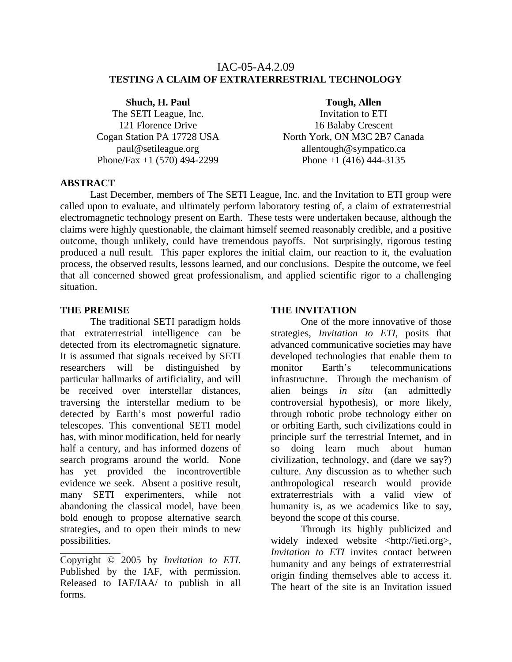### IAC-05-A4.2.09 **TESTING A CLAIM OF EXTRATERRESTRIAL TECHNOLOGY**

**Shuch, H. Paul** The SETI League, Inc. 121 Florence Drive Cogan Station PA 17728 USA paul@setileague.org Phone/Fax +1 (570) 494-2299

#### **Tough, Allen**

Invitation to ETI 16 Balaby Crescent North York, ON M3C 2B7 Canada allentough@sympatico.ca Phone  $+1$  (416) 444-3135

### **ABSTRACT**

Last December, members of The SETI League, Inc. and the Invitation to ETI group were called upon to evaluate, and ultimately perform laboratory testing of, a claim of extraterrestrial electromagnetic technology present on Earth. These tests were undertaken because, although the claims were highly questionable, the claimant himself seemed reasonably credible, and a positive outcome, though unlikely, could have tremendous payoffs. Not surprisingly, rigorous testing produced a null result. This paper explores the initial claim, our reaction to it, the evaluation process, the observed results, lessons learned, and our conclusions. Despite the outcome, we feel that all concerned showed great professionalism, and applied scientific rigor to a challenging situation.

#### **THE PREMISE**

The traditional SETI paradigm holds that extraterrestrial intelligence can be detected from its electromagnetic signature. It is assumed that signals received by SETI researchers will be distinguished by particular hallmarks of artificiality, and will be received over interstellar distances, traversing the interstellar medium to be detected by Earth's most powerful radio telescopes. This conventional SETI model has, with minor modification, held for nearly half a century, and has informed dozens of search programs around the world. None has yet provided the incontrovertible evidence we seek. Absent a positive result, many SETI experimenters, while not abandoning the classical model, have been bold enough to propose alternative search strategies, and to open their minds to new possibilities.

Copyright © 2005 by *Invitation to ETI*. Published by the IAF, with permission. Released to IAF/IAA/ to publish in all forms.

#### **THE INVITATION**

One of the more innovative of those strategies, *Invitation to ETI*, posits that advanced communicative societies may have developed technologies that enable them to monitor Earth's telecommunications infrastructure. Through the mechanism of alien beings *in situ* (an admittedly controversial hypothesis), or more likely, through robotic probe technology either on or orbiting Earth, such civilizations could in principle surf the terrestrial Internet, and in so doing learn much about human civilization, technology, and (dare we say?) culture. Any discussion as to whether such anthropological research would provide extraterrestrials with a valid view of humanity is, as we academics like to say, beyond the scope of this course.

Through its highly publicized and widely indexed website <http://ieti.org>. *Invitation to ETI* invites contact between humanity and any beings of extraterrestrial origin finding themselves able to access it. The heart of the site is an Invitation issued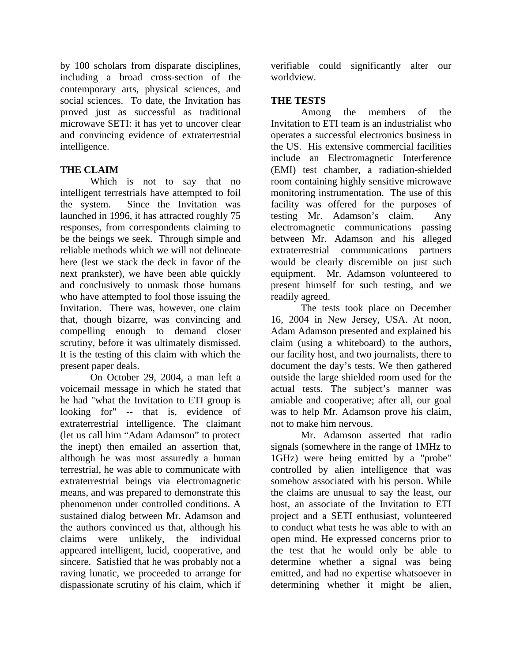by 100 scholars from disparate disciplines, including a broad cross-section of the contemporary arts, physical sciences, and social sciences. To date, the Invitation has proved just as successful as traditional microwave SETI: it has yet to uncover clear and convincing evidence of extraterrestrial intelligence.

## **THE CLAIM**

Which is not to say that no intelligent terrestrials have attempted to foil the system. Since the Invitation was launched in 1996, it has attracted roughly 75 responses, from correspondents claiming to be the beings we seek. Through simple and reliable methods which we will not delineate here (lest we stack the deck in favor of the next prankster), we have been able quickly and conclusively to unmask those humans who have attempted to fool those issuing the Invitation. There was, however, one claim that, though bizarre, was convincing and compelling enough to demand closer scrutiny, before it was ultimately dismissed. It is the testing of this claim with which the present paper deals.

On October 29, 2004, a man left a voicemail message in which he stated that he had "what the Invitation to ETI group is looking for" -- that is, evidence of extraterrestrial intelligence. The claimant (let us call him "Adam Adamson" to protect the inept) then emailed an assertion that, although he was most assuredly a human terrestrial, he was able to communicate with extraterrestrial beings via electromagnetic means, and was prepared to demonstrate this phenomenon under controlled conditions. A sustained dialog between Mr. Adamson and the authors convinced us that, although his claims were unlikely, the individual appeared intelligent, lucid, cooperative, and sincere. Satisfied that he was probably not a raving lunatic, we proceeded to arrange for dispassionate scrutiny of his claim, which if verifiable could significantly alter our worldview.

### **THE TESTS**

Among the members of the Invitation to ETI team is an industrialist who operates a successful electronics business in the US. His extensive commercial facilities include an Electromagnetic Interference (EMI) test chamber, a radiation-shielded room containing highly sensitive microwave monitoring instrumentation. The use of this facility was offered for the purposes of testing Mr. Adamson's claim. Any electromagnetic communications passing between Mr. Adamson and his alleged extraterrestrial communications partners would be clearly discernible on just such equipment. Mr. Adamson volunteered to present himself for such testing, and we readily agreed.

The tests took place on December 16, 2004 in New Jersey, USA. At noon, Adam Adamson presented and explained his claim (using a whiteboard) to the authors, our facility host, and two journalists, there to document the day's tests. We then gathered outside the large shielded room used for the actual tests. The subject's manner was amiable and cooperative; after all, our goal was to help Mr. Adamson prove his claim, not to make him nervous.

Mr. Adamson asserted that radio signals (somewhere in the range of 1MHz to 1GHz) were being emitted by a "probe" controlled by alien intelligence that was somehow associated with his person. While the claims are unusual to say the least, our host, an associate of the Invitation to ETI project and a SETI enthusiast, volunteered to conduct what tests he was able to with an open mind. He expressed concerns prior to the test that he would only be able to determine whether a signal was being emitted, and had no expertise whatsoever in determining whether it might be alien,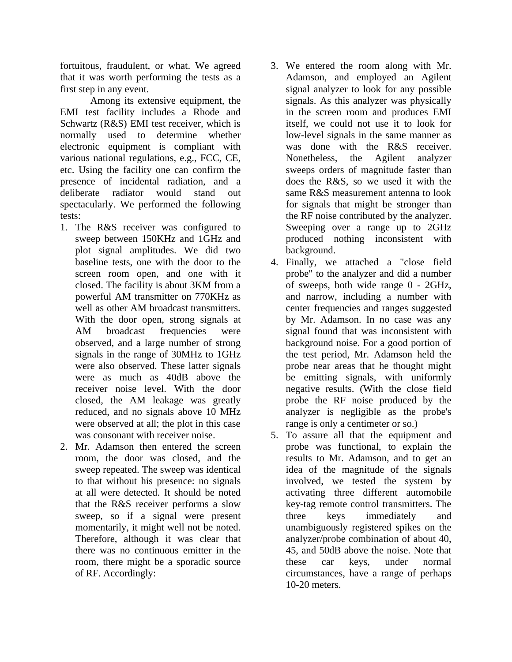fortuitous, fraudulent, or what. We agreed that it was worth performing the tests as a first step in any event.

Among its extensive equipment, the EMI test facility includes a Rhode and Schwartz (R&S) EMI test receiver, which is normally used to determine whether electronic equipment is compliant with various national regulations, e.g., FCC, CE, etc. Using the facility one can confirm the presence of incidental radiation, and a deliberate radiator would stand out spectacularly. We performed the following tests:

- 1. The R&S receiver was configured to sweep between 150KHz and 1GHz and plot signal amplitudes. We did two baseline tests, one with the door to the screen room open, and one with it closed. The facility is about 3KM from a powerful AM transmitter on 770KHz as well as other AM broadcast transmitters. With the door open, strong signals at AM broadcast frequencies were observed, and a large number of strong signals in the range of 30MHz to 1GHz were also observed. These latter signals were as much as 40dB above the receiver noise level. With the door closed, the AM leakage was greatly reduced, and no signals above 10 MHz were observed at all; the plot in this case was consonant with receiver noise.
- 2. Mr. Adamson then entered the screen room, the door was closed, and the sweep repeated. The sweep was identical to that without his presence: no signals at all were detected. It should be noted that the R&S receiver performs a slow sweep, so if a signal were present momentarily, it might well not be noted. Therefore, although it was clear that there was no continuous emitter in the room, there might be a sporadic source of RF. Accordingly:
- 3. We entered the room along with Mr. Adamson, and employed an Agilent signal analyzer to look for any possible signals. As this analyzer was physically in the screen room and produces EMI itself, we could not use it to look for low-level signals in the same manner as was done with the R&S receiver. Nonetheless, the Agilent analyzer sweeps orders of magnitude faster than does the R&S, so we used it with the same R&S measurement antenna to look for signals that might be stronger than the RF noise contributed by the analyzer. Sweeping over a range up to 2GHz produced nothing inconsistent with background.
- 4. Finally, we attached a "close field probe" to the analyzer and did a number of sweeps, both wide range 0 - 2GHz, and narrow, including a number with center frequencies and ranges suggested by Mr. Adamson. In no case was any signal found that was inconsistent with background noise. For a good portion of the test period, Mr. Adamson held the probe near areas that he thought might be emitting signals, with uniformly negative results. (With the close field probe the RF noise produced by the analyzer is negligible as the probe's range is only a centimeter or so.)
- 5. To assure all that the equipment and probe was functional, to explain the results to Mr. Adamson, and to get an idea of the magnitude of the signals involved, we tested the system by activating three different automobile key-tag remote control transmitters. The three keys immediately and unambiguously registered spikes on the analyzer/probe combination of about 40, 45, and 50dB above the noise. Note that these car keys, under normal circumstances, have a range of perhaps 10-20 meters.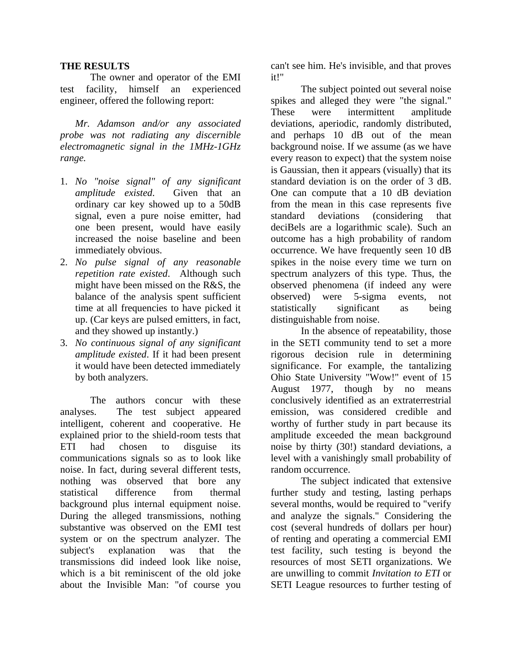### **THE RESULTS**

The owner and operator of the EMI test facility, himself an experienced engineer, offered the following report:

*Mr. Adamson and/or any associated probe was not radiating any discernible electromagnetic signal in the 1MHz-1GHz range.*

- 1. *No "noise signal" of any significant amplitude existed*. Given that an ordinary car key showed up to a 50dB signal, even a pure noise emitter, had one been present, would have easily increased the noise baseline and been immediately obvious.
- 2. *No pulse signal of any reasonable repetition rate existed*. Although such might have been missed on the R&S, the balance of the analysis spent sufficient time at all frequencies to have picked it up. (Car keys are pulsed emitters, in fact, and they showed up instantly.)
- 3. *No continuous signal of any significant amplitude existed*. If it had been present it would have been detected immediately by both analyzers.

The authors concur with these analyses. The test subject appeared intelligent, coherent and cooperative. He explained prior to the shield-room tests that ETI had chosen to disguise its communications signals so as to look like noise. In fact, during several different tests, nothing was observed that bore any statistical difference from thermal background plus internal equipment noise. During the alleged transmissions, nothing substantive was observed on the EMI test system or on the spectrum analyzer. The subject's explanation was that the transmissions did indeed look like noise, which is a bit reminiscent of the old joke about the Invisible Man: "of course you

can't see him. He's invisible, and that proves it!"

The subject pointed out several noise spikes and alleged they were "the signal." These were intermittent amplitude deviations, aperiodic, randomly distributed, and perhaps 10 dB out of the mean background noise. If we assume (as we have every reason to expect) that the system noise is Gaussian, then it appears (visually) that its standard deviation is on the order of 3 dB. One can compute that a 10 dB deviation from the mean in this case represents five standard deviations (considering that deciBels are a logarithmic scale). Such an outcome has a high probability of random occurrence. We have frequently seen 10 dB spikes in the noise every time we turn on spectrum analyzers of this type. Thus, the observed phenomena (if indeed any were observed) were 5-sigma events, not statistically significant as being distinguishable from noise.

In the absence of repeatability, those in the SETI community tend to set a more rigorous decision rule in determining significance. For example, the tantalizing Ohio State University "Wow!" event of 15 August 1977, though by no means conclusively identified as an extraterrestrial emission, was considered credible and worthy of further study in part because its amplitude exceeded the mean background noise by thirty (30!) standard deviations, a level with a vanishingly small probability of random occurrence.

The subject indicated that extensive further study and testing, lasting perhaps several months, would be required to "verify and analyze the signals." Considering the cost (several hundreds of dollars per hour) of renting and operating a commercial EMI test facility, such testing is beyond the resources of most SETI organizations. We are unwilling to commit *Invitation to ETI* or SETI League resources to further testing of